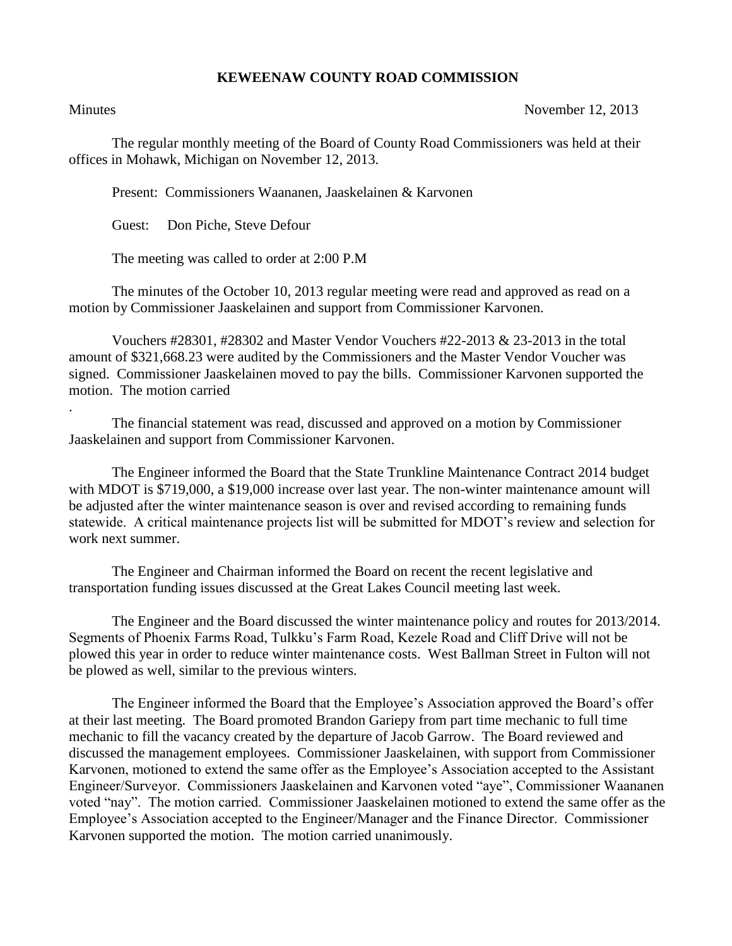## **KEWEENAW COUNTY ROAD COMMISSION**

.

Minutes November 12, 2013

The regular monthly meeting of the Board of County Road Commissioners was held at their offices in Mohawk, Michigan on November 12, 2013.

Present: Commissioners Waananen, Jaaskelainen & Karvonen

Guest: Don Piche, Steve Defour

The meeting was called to order at 2:00 P.M

The minutes of the October 10, 2013 regular meeting were read and approved as read on a motion by Commissioner Jaaskelainen and support from Commissioner Karvonen.

Vouchers #28301, #28302 and Master Vendor Vouchers #22-2013 & 23-2013 in the total amount of \$321,668.23 were audited by the Commissioners and the Master Vendor Voucher was signed. Commissioner Jaaskelainen moved to pay the bills. Commissioner Karvonen supported the motion. The motion carried

The financial statement was read, discussed and approved on a motion by Commissioner Jaaskelainen and support from Commissioner Karvonen.

The Engineer informed the Board that the State Trunkline Maintenance Contract 2014 budget with MDOT is \$719,000, a \$19,000 increase over last year. The non-winter maintenance amount will be adjusted after the winter maintenance season is over and revised according to remaining funds statewide. A critical maintenance projects list will be submitted for MDOT's review and selection for work next summer.

The Engineer and Chairman informed the Board on recent the recent legislative and transportation funding issues discussed at the Great Lakes Council meeting last week.

The Engineer and the Board discussed the winter maintenance policy and routes for 2013/2014. Segments of Phoenix Farms Road, Tulkku's Farm Road, Kezele Road and Cliff Drive will not be plowed this year in order to reduce winter maintenance costs. West Ballman Street in Fulton will not be plowed as well, similar to the previous winters.

The Engineer informed the Board that the Employee's Association approved the Board's offer at their last meeting. The Board promoted Brandon Gariepy from part time mechanic to full time mechanic to fill the vacancy created by the departure of Jacob Garrow. The Board reviewed and discussed the management employees. Commissioner Jaaskelainen, with support from Commissioner Karvonen, motioned to extend the same offer as the Employee's Association accepted to the Assistant Engineer/Surveyor. Commissioners Jaaskelainen and Karvonen voted "aye", Commissioner Waananen voted "nay". The motion carried. Commissioner Jaaskelainen motioned to extend the same offer as the Employee's Association accepted to the Engineer/Manager and the Finance Director. Commissioner Karvonen supported the motion. The motion carried unanimously.